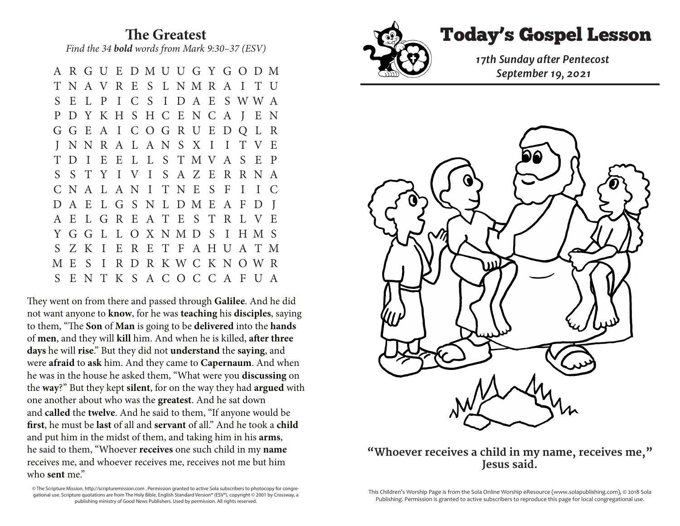**The Greatest** *Find the 34 bold words from Mark 9:30–37 (ESV)* 

 A R G U E D M U U G Y G O D M T N A V R E S L N M R A I T U S E L P I C S I D A E S W W A P D Y K H S H C E N C A J E N G G E A I C O G R U E D Q L R J N N R A L A N S X I I T V E T D I E E L L S T M V A S E P S S T Y I V I S A Z E R R N A C N A L A N I T N E S F I I C D A E L G S N L D M E A F D J A E L G R E A T E S T R L V E Y G G L L O X N M D S I H M S S Z K I E R E T F A H U A T M M E S I R D R K W C K N O W R S E N T K S A C O C C A F U A

They went on from there and passed through **Galilee**. And he did not want anyone to **know**, for he was **teaching** his **disciples**, saying to them, "The **Son** of **Man** is going to be **delivered** into the **hands** of **men**, and they will **kill** him. And when he is killed, **after three days** he will **rise**." But they did not **understand** the **saying**, and were **afraid** to **ask** him. And they came to **Capernaum**. And when he was in the house he asked them, "What were you **discussing** on the **way**?" But they kept **silent**, for on the way they had **argued** with one another about who was the **greatest**. And he sat down and **called** the **twelve**. And he said to them, "If anyone would be **first**, he must be **last** of all and **servant** of all." And he took a **child** and put him in the midst of them, and taking him in his **arms**, he said to them, "Whoever **receives** one such child in my **name** receives me, and whoever receives me, receives not me but him who **sent** me."

© The Scripture Mission, http://scripturemission.com . Permission granted to active Sola subscribers to photocopy for congregational use. Scripture quotations are from The Holy Bible, English Standard Version® (ESV®), copyright © 2001 by Crossway, a publishing ministry of Good News Publishers. Used by permission. All rights reserved.



T N A V R E S L N M R A I T U

Today's Gospel Lesson **The Greatest**



## "Whoever receives a child in my name, receives me," *Jesus said. Particularly set of an analysis of methods in the but him set of an analysis of an analysis not me. The set of an analysis of an analysis*  $\alpha$  *is a set of an analysis of an analysis of an analysis of an a*

This Children's Worship Page is from the Sola Online Worship eResource (www.solapublishing.com), © 2018 Sola Publishing. Permission is granted to active subscribers to reproduce this page for local congregational use.